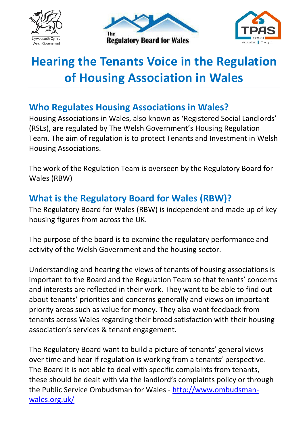





# **Hearing the Tenants Voice in the Regulation of Housing Association in Wales**

## **Who Regulates Housing Associations in Wales?**

Housing Associations in Wales, also known as 'Registered Social Landlords' (RSLs), are regulated by The Welsh Government's Housing Regulation Team. The aim of regulation is to protect Tenants and Investment in Welsh Housing Associations.

The work of the Regulation Team is overseen by the Regulatory Board for Wales (RBW)

# **What is the Regulatory Board for Wales (RBW)?**

The Regulatory Board for Wales (RBW) is independent and made up of key housing figures from across the UK.

The purpose of the board is to examine the regulatory performance and activity of the Welsh Government and the housing sector.

Understanding and hearing the views of tenants of housing associations is important to the Board and the Regulation Team so that tenants' concerns and interests are reflected in their work. They want to be able to find out about tenants' priorities and concerns generally and views on important priority areas such as value for money. They also want feedback from tenants across Wales regarding their broad satisfaction with their housing association's services & tenant engagement.

The Regulatory Board want to build a picture of tenants' general views over time and hear if regulation is working from a tenants' perspective. The Board it is not able to deal with specific complaints from tenants, these should be dealt with via the landlord's complaints policy or through the Public Service Ombudsman for Wales - [http://www.ombudsman](http://www.ombudsman-wales.org.uk/)[wales.org.uk/](http://www.ombudsman-wales.org.uk/)